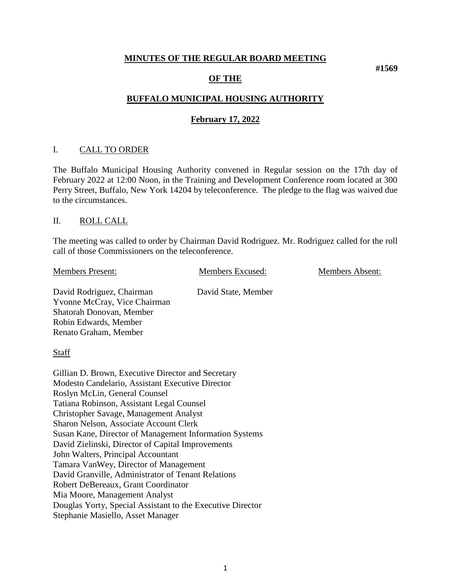#### **MINUTES OF THE REGULAR BOARD MEETING**

#### **OF THE**

## **BUFFALO MUNICIPAL HOUSING AUTHORITY**

#### **February 17, 2022**

#### I. CALL TO ORDER

The Buffalo Municipal Housing Authority convened in Regular session on the 17th day of February 2022 at 12:00 Noon, in the Training and Development Conference room located at 300 Perry Street, Buffalo, New York 14204 by teleconference. The pledge to the flag was waived due to the circumstances.

#### II. ROLL CALL

The meeting was called to order by Chairman David Rodriguez. Mr. Rodriguez called for the roll call of those Commissioners on the teleconference.

Members Present: Members Excused: Members Absent:

David Rodriguez, Chairman David State, Member Yvonne McCray, Vice Chairman Shatorah Donovan, Member Robin Edwards, Member Renato Graham, Member

**Staff** 

Gillian D. Brown, Executive Director and Secretary Modesto Candelario, Assistant Executive Director Roslyn McLin, General Counsel Tatiana Robinson, Assistant Legal Counsel Christopher Savage, Management Analyst Sharon Nelson, Associate Account Clerk Susan Kane, Director of Management Information Systems David Zielinski, Director of Capital Improvements John Walters, Principal Accountant Tamara VanWey, Director of Management David Granville, Administrator of Tenant Relations Robert DeBereaux, Grant Coordinator Mia Moore, Management Analyst Douglas Yorty, Special Assistant to the Executive Director Stephanie Masiello, Asset Manager

**#1569**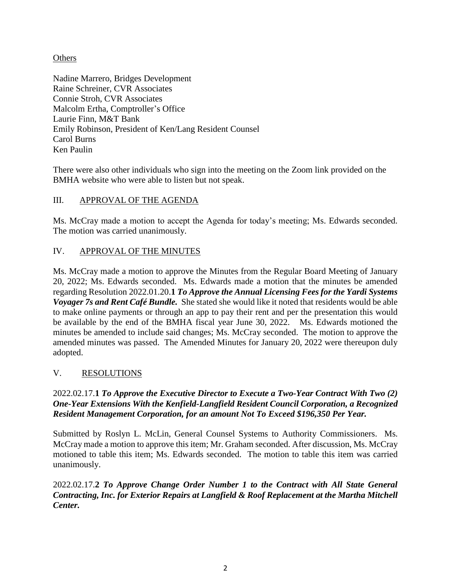## **Others**

Nadine Marrero, Bridges Development Raine Schreiner, CVR Associates Connie Stroh, CVR Associates Malcolm Ertha, Comptroller's Office Laurie Finn, M&T Bank Emily Robinson, President of Ken/Lang Resident Counsel Carol Burns Ken Paulin

There were also other individuals who sign into the meeting on the Zoom link provided on the BMHA website who were able to listen but not speak.

# III. APPROVAL OF THE AGENDA

Ms. McCray made a motion to accept the Agenda for today's meeting; Ms. Edwards seconded. The motion was carried unanimously.

## IV. APPROVAL OF THE MINUTES

Ms. McCray made a motion to approve the Minutes from the Regular Board Meeting of January 20, 2022; Ms. Edwards seconded. Ms. Edwards made a motion that the minutes be amended regarding Resolution 2022.01.20.**1** *To Approve the Annual Licensing Fees for the Yardi Systems Voyager 7s and Rent Café Bundle.* She stated she would like it noted that residents would be able to make online payments or through an app to pay their rent and per the presentation this would be available by the end of the BMHA fiscal year June 30, 2022. Ms. Edwards motioned the minutes be amended to include said changes; Ms. McCray seconded. The motion to approve the amended minutes was passed. The Amended Minutes for January 20, 2022 were thereupon duly adopted.

## V. RESOLUTIONS

#### 2022.02.17.**1** *To Approve the Executive Director to Execute a Two-Year Contract With Two (2) One-Year Extensions With the Kenfield-Langfield Resident Council Corporation, a Recognized Resident Management Corporation, for an amount Not To Exceed \$196,350 Per Year.*

Submitted by Roslyn L. McLin, General Counsel Systems to Authority Commissioners. Ms. McCray made a motion to approve this item; Mr. Graham seconded. After discussion, Ms. McCray motioned to table this item; Ms. Edwards seconded. The motion to table this item was carried unanimously.

2022.02.17.**2** *To Approve Change Order Number 1 to the Contract with All State General Contracting, Inc. for Exterior Repairs at Langfield & Roof Replacement at the Martha Mitchell Center.*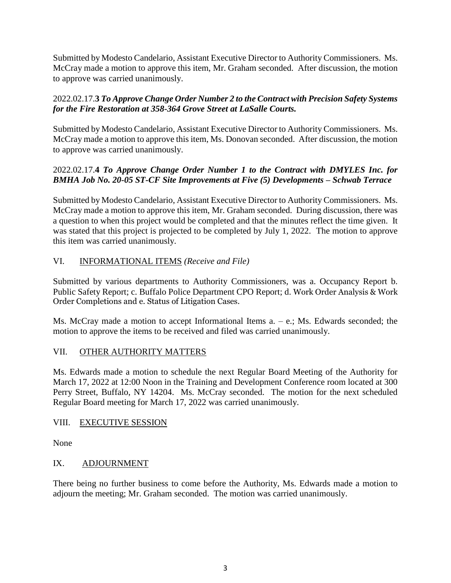Submitted by Modesto Candelario, Assistant Executive Director to Authority Commissioners. Ms. McCray made a motion to approve this item, Mr. Graham seconded. After discussion, the motion to approve was carried unanimously.

# 2022.02.17.**3** *To Approve Change Order Number 2 to the Contract with Precision Safety Systems for the Fire Restoration at 358-364 Grove Street at LaSalle Courts.*

Submitted by Modesto Candelario, Assistant Executive Director to Authority Commissioners. Ms. McCray made a motion to approve this item, Ms. Donovan seconded. After discussion, the motion to approve was carried unanimously.

## 2022.02.17.**4** *To Approve Change Order Number 1 to the Contract with DMYLES Inc. for BMHA Job No. 20-05 ST-CF Site Improvements at Five (5) Developments – Schwab Terrace*

Submitted by Modesto Candelario, Assistant Executive Director to Authority Commissioners. Ms. McCray made a motion to approve this item, Mr. Graham seconded. During discussion, there was a question to when this project would be completed and that the minutes reflect the time given. It was stated that this project is projected to be completed by July 1, 2022. The motion to approve this item was carried unanimously.

# VI. INFORMATIONAL ITEMS *(Receive and File)*

Submitted by various departments to Authority Commissioners, was a. Occupancy Report b. Public Safety Report; c. Buffalo Police Department CPO Report; d. Work Order Analysis & Work Order Completions and e. Status of Litigation Cases.

Ms. McCray made a motion to accept Informational Items a. – e.; Ms. Edwards seconded; the motion to approve the items to be received and filed was carried unanimously.

## VII. OTHER AUTHORITY MATTERS

Ms. Edwards made a motion to schedule the next Regular Board Meeting of the Authority for March 17, 2022 at 12:00 Noon in the Training and Development Conference room located at 300 Perry Street, Buffalo, NY 14204. Ms. McCray seconded. The motion for the next scheduled Regular Board meeting for March 17, 2022 was carried unanimously.

## VIII. EXECUTIVE SESSION

None

## IX. ADJOURNMENT

There being no further business to come before the Authority, Ms. Edwards made a motion to adjourn the meeting; Mr. Graham seconded. The motion was carried unanimously.